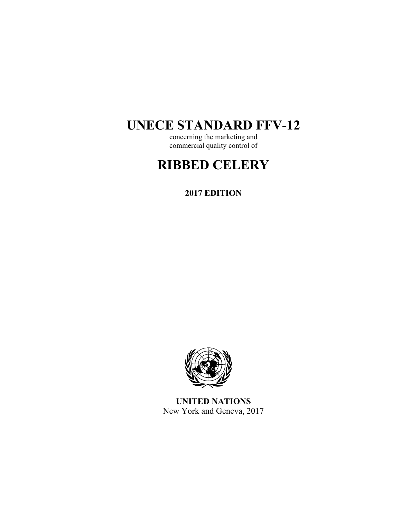# **UNECE STANDARD FFV-12**

concerning the marketing and commercial quality control of

# **RIBBED CELERY**

**2017 EDITION** 



**UNITED NATIONS**  New York and Geneva, 2017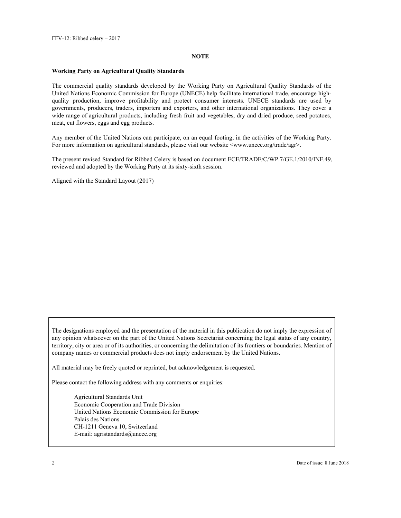#### **NOTE**

#### **Working Party on Agricultural Quality Standards**

The commercial quality standards developed by the Working Party on Agricultural Quality Standards of the United Nations Economic Commission for Europe (UNECE) help facilitate international trade, encourage highquality production, improve profitability and protect consumer interests. UNECE standards are used by governments, producers, traders, importers and exporters, and other international organizations. They cover a wide range of agricultural products, including fresh fruit and vegetables, dry and dried produce, seed potatoes, meat, cut flowers, eggs and egg products.

Any member of the United Nations can participate, on an equal footing, in the activities of the Working Party. For more information on agricultural standards, please visit our website <www.unece.org/trade/agr>.

The present revised Standard for Ribbed Celery is based on document ECE/TRADE/C/WP.7/GE.1/2010/INF.49, reviewed and adopted by the Working Party at its sixty-sixth session.

Aligned with the Standard Layout (2017)

The designations employed and the presentation of the material in this publication do not imply the expression of any opinion whatsoever on the part of the United Nations Secretariat concerning the legal status of any country, territory, city or area or of its authorities, or concerning the delimitation of its frontiers or boundaries. Mention of company names or commercial products does not imply endorsement by the United Nations.

All material may be freely quoted or reprinted, but acknowledgement is requested.

Please contact the following address with any comments or enquiries:

Agricultural Standards Unit Economic Cooperation and Trade Division United Nations Economic Commission for Europe Palais des Nations CH-1211 Geneva 10, Switzerland E-mail: agristandards@unece.org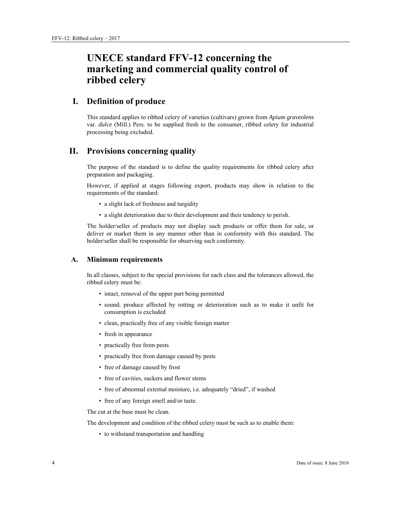## **UNECE standard FFV-12 concerning the marketing and commercial quality control of ribbed celery**

## **I. Definition of produce**

This standard applies to ribbed celery of varieties (cultivars) grown from *Apium graveolens* var. *dulce* (Mill.) Pers. to be supplied fresh to the consumer, ribbed celery for industrial processing being excluded.

## **II. Provisions concerning quality**

The purpose of the standard is to define the quality requirements for ribbed celery after preparation and packaging.

However, if applied at stages following export, products may show in relation to the requirements of the standard:

- a slight lack of freshness and turgidity
- a slight deterioration due to their development and their tendency to perish.

The holder/seller of products may not display such products or offer them for sale, or deliver or market them in any manner other than in conformity with this standard. The holder/seller shall be responsible for observing such conformity.

#### **A. Minimum requirements**

In all classes, subject to the special provisions for each class and the tolerances allowed, the ribbed celery must be:

- intact, removal of the upper part being permitted
- sound; produce affected by rotting or deterioration such as to make it unfit for consumption is excluded
- clean, practically free of any visible foreign matter
- fresh in appearance
- practically free from pests
- practically free from damage caused by pests
- free of damage caused by frost
- free of cavities, suckers and flower stems
- free of abnormal external moisture, i.e. adequately "dried", if washed
- free of any foreign smell and/or taste.

The cut at the base must be clean.

The development and condition of the ribbed celery must be such as to enable them:

• to withstand transportation and handling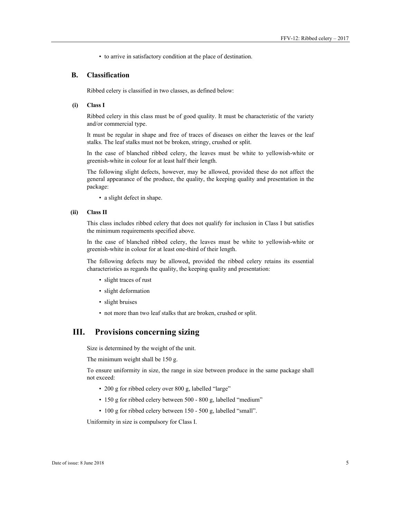• to arrive in satisfactory condition at the place of destination.

### **B. Classification**

Ribbed celery is classified in two classes, as defined below:

#### **(i) Class I**

Ribbed celery in this class must be of good quality. It must be characteristic of the variety and/or commercial type.

It must be regular in shape and free of traces of diseases on either the leaves or the leaf stalks. The leaf stalks must not be broken, stringy, crushed or split.

In the case of blanched ribbed celery, the leaves must be white to yellowish-white or greenish-white in colour for at least half their length.

The following slight defects, however, may be allowed, provided these do not affect the general appearance of the produce, the quality, the keeping quality and presentation in the package:

• a slight defect in shape.

#### **(ii) Class II**

This class includes ribbed celery that does not qualify for inclusion in Class I but satisfies the minimum requirements specified above.

In the case of blanched ribbed celery, the leaves must be white to yellowish-white or greenish-white in colour for at least one-third of their length.

The following defects may be allowed, provided the ribbed celery retains its essential characteristics as regards the quality, the keeping quality and presentation:

- slight traces of rust
- slight deformation
- slight bruises
- not more than two leaf stalks that are broken, crushed or split.

## **III. Provisions concerning sizing**

Size is determined by the weight of the unit.

The minimum weight shall be 150 g.

To ensure uniformity in size, the range in size between produce in the same package shall not exceed:

- 200 g for ribbed celery over 800 g, labelled "large"
- 150 g for ribbed celery between 500 800 g, labelled "medium"
- 100 g for ribbed celery between 150 500 g, labelled "small".

Uniformity in size is compulsory for Class I.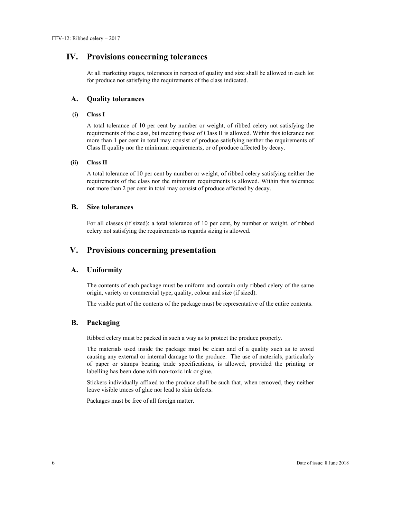## **IV. Provisions concerning tolerances**

At all marketing stages, tolerances in respect of quality and size shall be allowed in each lot for produce not satisfying the requirements of the class indicated.

#### **A. Quality tolerances**

#### **(i) Class I**

A total tolerance of 10 per cent by number or weight, of ribbed celery not satisfying the requirements of the class, but meeting those of Class II is allowed. Within this tolerance not more than 1 per cent in total may consist of produce satisfying neither the requirements of Class II quality nor the minimum requirements, or of produce affected by decay.

#### **(ii) Class II**

A total tolerance of 10 per cent by number or weight, of ribbed celery satisfying neither the requirements of the class nor the minimum requirements is allowed. Within this tolerance not more than 2 per cent in total may consist of produce affected by decay.

#### **B. Size tolerances**

For all classes (if sized): a total tolerance of 10 per cent, by number or weight, of ribbed celery not satisfying the requirements as regards sizing is allowed.

## **V. Provisions concerning presentation**

### **A. Uniformity**

The contents of each package must be uniform and contain only ribbed celery of the same origin, variety or commercial type, quality, colour and size (if sized).

The visible part of the contents of the package must be representative of the entire contents.

#### **B. Packaging**

Ribbed celery must be packed in such a way as to protect the produce properly.

The materials used inside the package must be clean and of a quality such as to avoid causing any external or internal damage to the produce. The use of materials, particularly of paper or stamps bearing trade specifications, is allowed, provided the printing or labelling has been done with non-toxic ink or glue.

Stickers individually affixed to the produce shall be such that, when removed, they neither leave visible traces of glue nor lead to skin defects.

Packages must be free of all foreign matter.